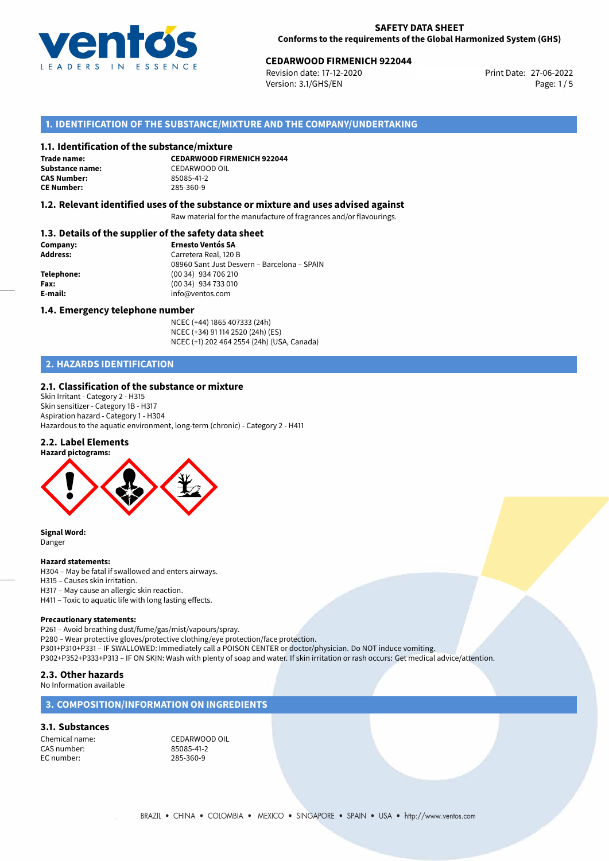

# **CEDARWOOD FIRMENICH 922044**<br>
Revision date: 17-12-2020<br>
Print Date: 27-06-2022

Revision date: 17-12-2020 Version: 3.1/GHS/EN Page: 1 / 5

## **1. IDENTIFICATION OF THE SUBSTANCE/MIXTURE AND THE COMPANY/UNDERTAKING**

#### **1.1. Identification of the substance/mixture**

**Trade name: CAS Number: CE Number:** 285-360-9

**CEDARWOOD FIRMENICH 922044 Substance name:** CEDARWOOD OIL<br> **CAS Number:** 85085-41-2

#### **1.2. Relevant identified uses of the substance or mixture and uses advised against**

Raw material for the manufacture of fragrances and/or flavourings.

#### **1.3. Details of the supplier of the safety data sheet**

| Company:        | <b>Ernesto Ventós SA</b>                    |
|-----------------|---------------------------------------------|
| <b>Address:</b> | Carretera Real, 120 B                       |
|                 | 08960 Sant Just Desvern - Barcelona - SPAIN |
| Telephone:      | (00 34) 934 706 210                         |
| Fax:            | (00 34) 934 733 010                         |
| E-mail:         | info@ventos.com                             |
|                 |                                             |

#### **1.4. Emergency telephone number**

NCEC (+44) 1865 407333 (24h) NCEC (+34) 91 114 2520 (24h) (ES) NCEC (+1) 202 464 2554 (24h) (USA, Canada)

# **2. HAZARDS IDENTIFICATION**

#### **2.1. Classification of the substance or mixture**

Skin Irritant - Category 2 - H315 Skin sensitizer - Category 1B - H317 Aspiration hazard - Category 1 - H304 Hazardous to the aquatic environment, long-term (chronic) - Category 2 - H411

#### **2.2. Label Elements**



**Signal Word:** Danger

#### **Hazard statements:**

H304 – May be fatal if swallowed and enters airways.

- H315 Causes skin irritation.
- H317 May cause an allergic skin reaction.
- H411 Toxic to aquatic life with long lasting effects.

#### **Precautionary statements:**

P261 – Avoid breathing dust/fume/gas/mist/vapours/spray.

P280 – Wear protective gloves/protective clothing/eye protection/face protection. P301+P310+P331 – IF SWALLOWED: Immediately call a POISON CENTER or doctor/physician. Do NOT induce vomiting.

P302+P352+P333+P313 – IF ON SKIN: Wash with plenty of soap and water. If skin irritation or rash occurs: Get medical advice/attention.

#### **2.3. Other hazards**

No Information available

### **3. COMPOSITION/INFORMATION ON INGREDIENTS**

#### **3.1. Substances**

CAS number: 85085-41-2 EC number:

Chemical name: CEDARWOOD OIL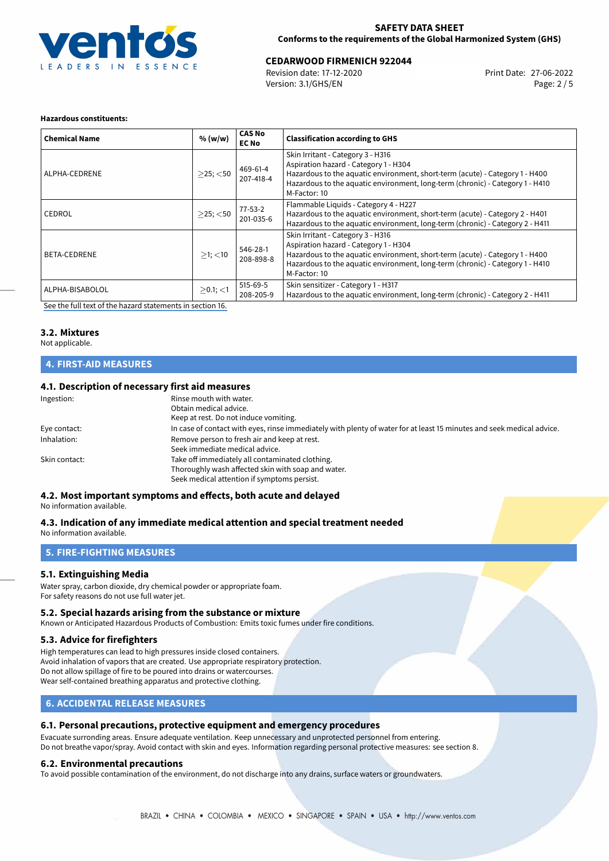

#### **SAFETY DATA SHEET Conforms to the requirements of the Global Harmonized System (GHS)**

# **CEDARWOOD FIRMENICH 922044**<br>
Revision date: 17-12-2020<br>
Print Date: 27-06-2022

Revision date: 17-12-2020 Version: 3.1/GHS/EN Page: 2 / 5

#### **Hazardous constituents:**

| <b>Chemical Name</b> | % (w/w)                                                     | <b>CAS No</b><br><b>EC No</b> | <b>Classification according to GHS</b>                                                                                                                                                                                                                      |
|----------------------|-------------------------------------------------------------|-------------------------------|-------------------------------------------------------------------------------------------------------------------------------------------------------------------------------------------------------------------------------------------------------------|
| ALPHA-CEDRENE        | $\geq$ 25; $<$ 50 $\begin{array}{ l}$ 469-61-4<br>207-418-4 |                               | Skin Irritant - Category 3 - H316<br>Aspiration hazard - Category 1 - H304<br>Hazardous to the aquatic environment, short-term (acute) - Category 1 - H400<br>Hazardous to the aquatic environment, long-term (chronic) - Category 1 - H410<br>M-Factor: 10 |
| <b>CEDROL</b>        | $>$ 25; $<$ 50                                              | 77-53-2<br>201-035-6          | Flammable Liquids - Category 4 - H227<br>Hazardous to the aquatic environment, short-term (acute) - Category 2 - H401<br>Hazardous to the aquatic environment, long-term (chronic) - Category 2 - H411                                                      |
| <b>BETA-CEDRENE</b>  | $>1$ ; $<$ 10                                               | 546-28-1<br>208-898-8         | Skin Irritant - Category 3 - H316<br>Aspiration hazard - Category 1 - H304<br>Hazardous to the aquatic environment, short-term (acute) - Category 1 - H400<br>Hazardous to the aquatic environment, long-term (chronic) - Category 1 - H410<br>M-Factor: 10 |
| ALPHA-BISABOLOL      | $>0.1$ ; <1                                                 | 515-69-5<br>208-205-9         | Skin sensitizer - Category 1 - H317<br>Hazardous to the aquatic environment, long-term (chronic) - Category 2 - H411                                                                                                                                        |

[See the full text of the hazard statements in section 16.](#page-4-0)

### **3.2. Mixtures**

Not applicable.

# **4. FIRST-AID MEASURES**

### **4.1. Description of necessary first aid measures**

| Ingestion:    | Rinse mouth with water.<br>Obtain medical advice.<br>Keep at rest. Do not induce vomiting.                                                           |
|---------------|------------------------------------------------------------------------------------------------------------------------------------------------------|
| Eye contact:  | In case of contact with eyes, rinse immediately with plenty of water for at least 15 minutes and seek medical advice.                                |
| Inhalation:   | Remove person to fresh air and keep at rest.<br>Seek immediate medical advice.                                                                       |
| Skin contact: | Take off immediately all contaminated clothing.<br>Thoroughly wash affected skin with soap and water.<br>Seek medical attention if symptoms persist. |

#### **4.2. Most important symptoms and effects, both acute and delayed**

No information available.

# **4.3. Indication of any immediate medical attention and special treatment needed**

No information available.

# **5. FIRE-FIGHTING MEASURES**

### **5.1. Extinguishing Media**

Water spray, carbon dioxide, dry chemical powder or appropriate foam. For safety reasons do not use full water jet.

#### **5.2. Special hazards arising from the substance or mixture**

Known or Anticipated Hazardous Products of Combustion: Emits toxic fumes under fire conditions.

#### **5.3. Advice for firefighters**

High temperatures can lead to high pressures inside closed containers. Avoid inhalation of vapors that are created. Use appropriate respiratory protection. Do not allow spillage of fire to be poured into drains or watercourses. Wear self-contained breathing apparatus and protective clothing.

# **6. ACCIDENTAL RELEASE MEASURES**

#### **6.1. Personal precautions, protective equipment and emergency procedures**

Evacuate surronding areas. Ensure adequate ventilation. Keep unnecessary and unprotected personnel from entering. Do not breathe vapor/spray. Avoid contact with skin and eyes. Information regarding personal protective measures: see section 8.

#### **6.2. Environmental precautions**

To avoid possible contamination of the environment, do not discharge into any drains, surface waters or groundwaters.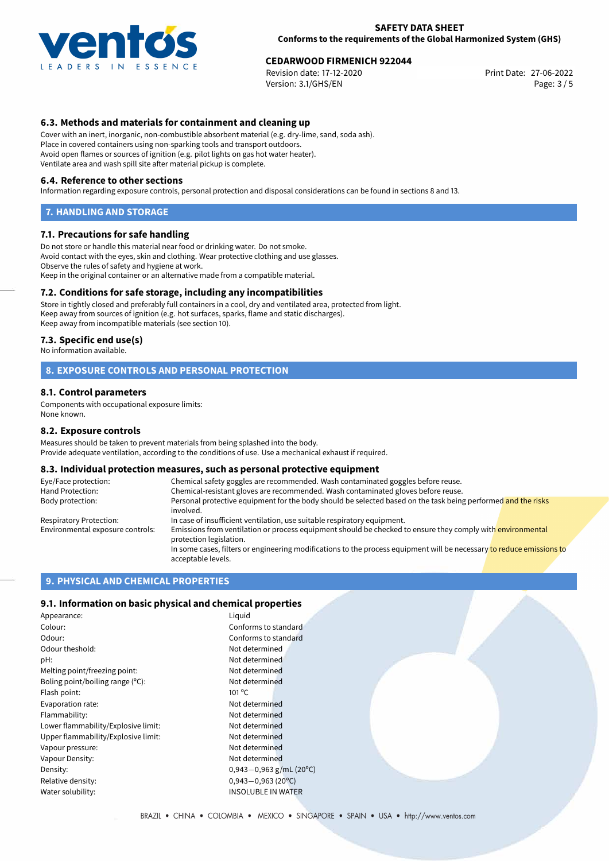

# **CEDARWOOD FIRMENICH 922044**<br>
Revision date: 17-12-2020<br>
Print Date: 27-06-2022

Revision date: 17-12-2020 Version: 3.1/GHS/EN Page: 3 / 5

## **6.3. Methods and materials for containment and cleaning up**

Cover with an inert, inorganic, non-combustible absorbent material (e.g. dry-lime, sand, soda ash). Place in covered containers using non-sparking tools and transport outdoors. Avoid open flames or sources of ignition (e.g. pilot lights on gas hot water heater). Ventilate area and wash spill site after material pickup is complete.

#### **6.4. Reference to other sections**

Information regarding exposure controls, personal protection and disposal considerations can be found in sections 8 and 13.

#### **7. HANDLING AND STORAGE**

#### **7.1. Precautions for safe handling**

Do not store or handle this material near food or drinking water. Do not smoke. Avoid contact with the eyes, skin and clothing. Wear protective clothing and use glasses. Observe the rules of safety and hygiene at work. Keep in the original container or an alternative made from a compatible material.

#### **7.2. Conditions for safe storage, including any incompatibilities**

Store in tightly closed and preferably full containers in a cool, dry and ventilated area, protected from light. Keep away from sources of ignition (e.g. hot surfaces, sparks, flame and static discharges). Keep away from incompatible materials (see section 10).

#### **7.3. Specific end use(s)**

No information available.

#### **8. EXPOSURE CONTROLS AND PERSONAL PROTECTION**

#### **8.1. Control parameters**

Components with occupational exposure limits: None known.

#### **8.2. Exposure controls**

Measures should be taken to prevent materials from being splashed into the body. Provide adequate ventilation, according to the conditions of use. Use a mechanical exhaust if required.

#### **8.3. Individual protection measures, such as personal protective equipment**

| Eye/Face protection:             | Chemical safety goggles are recommended. Wash contaminated goggles before reuse.                                                            |  |  |
|----------------------------------|---------------------------------------------------------------------------------------------------------------------------------------------|--|--|
| Hand Protection:                 | Chemical-resistant gloves are recommended. Wash contaminated gloves before reuse.                                                           |  |  |
| Body protection:                 | Personal protective equipment for the body should be selected based on the task being performed and the risks<br>involved.                  |  |  |
| Respiratory Protection:          | In case of insufficient ventilation, use suitable respiratory equipment.                                                                    |  |  |
| Environmental exposure controls: | Emissions from ventilation or process equipment should be checked to ensure they comply with environmental<br>protection legislation.       |  |  |
|                                  | In some cases, filters or engineering modifications to the process equipment will be necessary to reduce emissions to<br>acceptable levels. |  |  |

#### **9. PHYSICAL AND CHEMICAL PROPERTIES**

#### **9.1. Information on basic physical and chemical properties**

| Appearance:                         | Liguid                                   |
|-------------------------------------|------------------------------------------|
| Colour:                             | Conforms to standard                     |
| Odour:                              | Conforms to standard                     |
| Odour theshold:                     | Not determined                           |
| pH:                                 | Not determined                           |
| Melting point/freezing point:       | Not determined                           |
| Boling point/boiling range $(°C)$ : | Not determined                           |
| Flash point:                        | $101^{\circ}$ C                          |
| Evaporation rate:                   | Not determined                           |
| Flammability:                       | Not determined                           |
| Lower flammability/Explosive limit: | Not determined                           |
| Upper flammability/Explosive limit: | Not determined                           |
| Vapour pressure:                    | Not determined                           |
| Vapour Density:                     | Not determined                           |
| Density:                            | $0,943 - 0,963$ g/mL (20 <sup>o</sup> C) |
| Relative density:                   | $0,943 - 0,963$ (20°C)                   |
| Water solubility:                   | <b>INSOLUBLE IN WATER</b>                |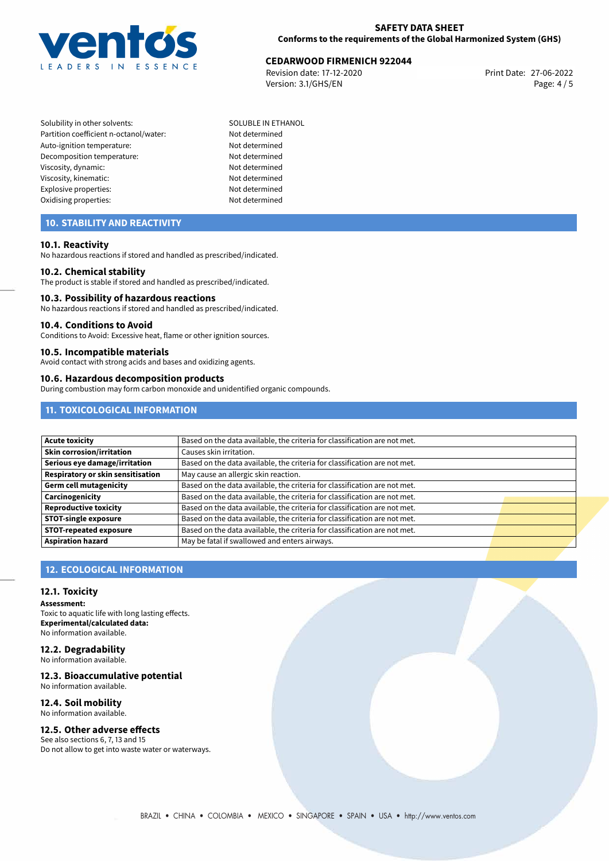

# **CEDARWOOD FIRMENICH 922044**<br>
Revision date: 17-12-2020<br>
Print Date: 27-06-2022

Revision date: 17-12-2020 Version: 3.1/GHS/EN Page: 4 / 5

Solubility in other solvents: SOLUBLE IN ETHANOL Partition coefficient n-octanol/water: Not determined Auto-ignition temperature: Not determined Decomposition temperature: Not determined Viscosity, dynamic: Not determined Viscosity, kinematic: Not determined Explosive properties: Not determined Oxidising properties: Not determined

# **10. STABILITY AND REACTIVITY**

#### **10.1. Reactivity**

No hazardous reactions if stored and handled as prescribed/indicated.

#### **10.2. Chemical stability**

The product is stable if stored and handled as prescribed/indicated.

#### **10.3. Possibility of hazardous reactions**

No hazardous reactions if stored and handled as prescribed/indicated.

#### **10.4. Conditions to Avoid**

Conditions to Avoid: Excessive heat, flame or other ignition sources.

#### **10.5. Incompatible materials**

Avoid contact with strong acids and bases and oxidizing agents.

#### **10.6. Hazardous decomposition products**

During combustion may form carbon monoxide and unidentified organic compounds.

# **11. TOXICOLOGICAL INFORMATION**

| <b>Acute toxicity</b>             | Based on the data available, the criteria for classification are not met. |  |
|-----------------------------------|---------------------------------------------------------------------------|--|
| <b>Skin corrosion/irritation</b>  | Causes skin irritation.                                                   |  |
| Serious eye damage/irritation     | Based on the data available, the criteria for classification are not met. |  |
| Respiratory or skin sensitisation | May cause an allergic skin reaction.                                      |  |
| Germ cell mutagenicity            | Based on the data available, the criteria for classification are not met. |  |
| Carcinogenicity                   | Based on the data available, the criteria for classification are not met. |  |
| Reproductive toxicity             | Based on the data available, the criteria for classification are not met. |  |
| <b>STOT-single exposure</b>       | Based on the data available, the criteria for classification are not met. |  |
| <b>STOT-repeated exposure</b>     | Based on the data available, the criteria for classification are not met. |  |
| <b>Aspiration hazard</b>          | May be fatal if swallowed and enters airways.                             |  |

# **12. ECOLOGICAL INFORMATION**

#### **12.1. Toxicity**

**Assessment:** Toxic to aquatic life with long lasting effects. **Experimental/calculated data:** No information available.

#### **12.2. Degradability** No information available.

**12.3. Bioaccumulative potential**

No information available.

# **12.4. Soil mobility**

No information available.

# **12.5. Other adverse effects**

See also sections 6, 7, 13 and 15 Do not allow to get into waste water or waterways.